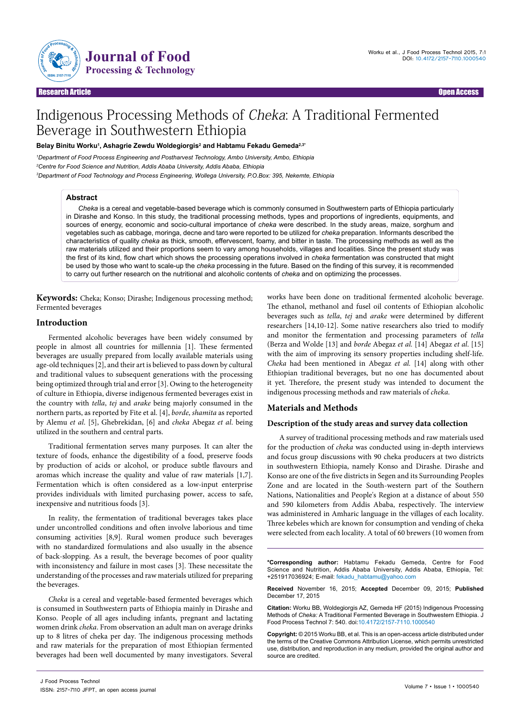

# Research Article Open Access

# Indigenous Processing Methods of Cheka: A Traditional Fermented Beverage in Southwestern Ethiopia

## **Belay Binitu Worku1 , Ashagrie Zewdu Woldegiorgis2 and Habtamu Fekadu Gemeda2,3\***

*1 Department of Food Process Engineering and Postharvest Technology, Ambo University, Ambo, Ethiopia 2 Centre for Food Science and Nutrition, Addis Ababa University, Addis Ababa, Ethiopia 3 Department of Food Technology and Process Engineering, Wollega University, P.O.Box: 395, Nekemte, Ethiopia*

#### **Abstract**

*Cheka* is a cereal and vegetable-based beverage which is commonly consumed in Southwestern parts of Ethiopia particularly in Dirashe and Konso. In this study, the traditional processing methods, types and proportions of ingredients, equipments, and sources of energy, economic and socio-cultural importance of *cheka* were described. In the study areas, maize, sorghum and vegetables such as cabbage, moringa, decne and taro were reported to be utilized for *cheka* preparation. Informants described the characteristics of quality *cheka* as thick, smooth, effervescent, foamy, and bitter in taste. The processing methods as well as the raw materials utilized and their proportions seem to vary among households, villages and localities. Since the present study was the first of its kind, flow chart which shows the processing operations involved in *cheka* fermentation was constructed that might be used by those who want to scale-up the *cheka* processing in the future. Based on the finding of this survey, it is recommended to carry out further research on the nutritional and alcoholic contents of *cheka* and on optimizing the processes.

**Keywords:** Cheka; Konso; Dirashe; Indigenous processing method; Fermented beverages

## **Introduction**

Fermented alcoholic beverages have been widely consumed by people in almost all countries for millennia [1]. These fermented beverages are usually prepared from locally available materials using age-old techniques [2], and their art is believed to pass down by cultural and traditional values to subsequent generations with the processing being optimized through trial and error [3]. Owing to the heterogeneity of culture in Ethiopia, diverse indigenous fermented beverages exist in the country with *tella*, *tej* and *arake* being majorly consumed in the northern parts, as reported by Fite et al. [4], *borde*, *shamita* as reported by Alemu *et al*. [5], Ghebrekidan, [6] and *cheka* Abegaz *et al*. being utilized in the southern and central parts.

Traditional fermentation serves many purposes. It can alter the texture of foods, enhance the digestibility of a food, preserve foods by production of acids or alcohol, or produce subtle flavours and aromas which increase the quality and value of raw materials [1,7]. Fermentation which is often considered as a low-input enterprise provides individuals with limited purchasing power, access to safe, inexpensive and nutritious foods [3].

In reality, the fermentation of traditional beverages takes place under uncontrolled conditions and often involve laborious and time consuming activities [8,9]. Rural women produce such beverages with no standardized formulations and also usually in the absence of back-slopping. As a result, the beverage becomes of poor quality with inconsistency and failure in most cases [3]. These necessitate the understanding of the processes and raw materials utilized for preparing the beverages.

*Cheka* is a cereal and vegetable-based fermented beverages which is consumed in Southwestern parts of Ethiopia mainly in Dirashe and Konso. People of all ages including infants, pregnant and lactating women drink *cheka*. From observation an adult man on average drinks up to 8 litres of cheka per day. The indigenous processing methods and raw materials for the preparation of most Ethiopian fermented beverages had been well documented by many investigators. Several

works have been done on traditional fermented alcoholic beverage. The ethanol, methanol and fusel oil contents of Ethiopian alcoholic beverages such as *tella*, *tej* and *arake* were determined by different researchers [14,10-12]. Some native researchers also tried to modify and monitor the fermentation and processing parameters of *tella* (Berza and Wolde [13] and *borde* Abegaz *et al.* [14] Abegaz *et al*. [15] with the aim of improving its sensory properties including shelf-life. *Cheka* had been mentioned in Abegaz *et al.* [14] along with other Ethiopian traditional beverages, but no one has documented about it yet. Therefore, the present study was intended to document the indigenous processing methods and raw materials of *cheka*.

# **Materials and Methods**

## **Description of the study areas and survey data collection**

A survey of traditional processing methods and raw materials used for the production of *cheka* was conducted using in-depth interviews and focus group discussions with 90 cheka producers at two districts in southwestern Ethiopia, namely Konso and Dirashe. Dirashe and Konso are one of the five districts in Segen and its Surrounding Peoples Zone and are located in the South-western part of the Southern Nations, Nationalities and People's Region at a distance of about 550 and 590 kilometers from Addis Ababa, respectively. The interview was administered in Amharic language in the villages of each locality. Three kebeles which are known for consumption and vending of cheka were selected from each locality. A total of 60 brewers (10 women from

**\*Corresponding author:** Habtamu Fekadu Gemeda, Centre for Food Science and Nutrition, Addis Ababa University, Addis Ababa, Ethiopia, Tel: +251917036924; E-mail: [fekadu\\_habtamu@yahoo.com](mailto:fekadu_habtamu@yahoo.com) 

**Received** November 16, 2015; **Accepted** December 09, 2015; **Published** December 17, 2015

**Citation:** Worku BB, Woldegiorgis AZ, Gemeda HF (2015) Indigenous Processing Methods of *Cheka:* A Traditional Fermented Beverage in Southwestern Ethiopia. J Food Process Technol 7: 540. doi:10.4172/2157-7110.1000540

**Copyright:** © 2015 Worku BB, et al. This is an open-access article distributed under the terms of the Creative Commons Attribution License, which permits unrestricted use, distribution, and reproduction in any medium, provided the original author and source are credited.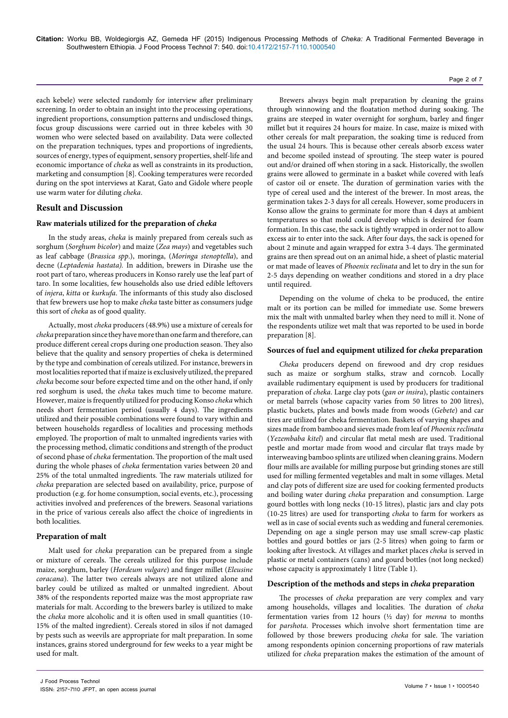each kebele) were selected randomly for interview after preliminary screening. In order to obtain an insight into the processing operations, ingredient proportions, consumption patterns and undisclosed things, focus group discussions were carried out in three kebeles with 30 women who were selected based on availability. Data were collected on the preparation techniques, types and proportions of ingredients, sources of energy, types of equipment, sensory properties, shelf-life and economic importance of *cheka* as well as constraints in its production, marketing and consumption [8]. Cooking temperatures were recorded during on the spot interviews at Karat, Gato and Gidole where people use warm water for diluting *cheka*.

#### **Result and Discussion**

#### **Raw materials utilized for the preparation of** *cheka*

In the study areas, *cheka* is mainly prepared from cereals such as sorghum (*Sorghum bicolor*) and maize (*Zea mays*) and vegetables such as leaf cabbage (*Brassica spp*.), moringa, (*Moringa stenoptella*), and decne (*Leptadenia hastata).* In addition, brewers in Dirashe use the root part of taro, whereas producers in Konso rarely use the leaf part of taro. In some localities, few households also use dried edible leftovers of *injera*, *kitta* or *kurkufa*. The informants of this study also disclosed that few brewers use hop to make *cheka* taste bitter as consumers judge this sort of *cheka* as of good quality.

Actually, most *cheka* producers (48.9%) use a mixture of cereals for *cheka* preparation since they have more than one farm and therefore, can produce different cereal crops during one production season. They also believe that the quality and sensory properties of cheka is determined by the type and combination of cereals utilized. For instance, brewers in most localities reported that if maize is exclusively utilized, the prepared *cheka* become sour before expected time and on the other hand, if only red sorghum is used, the *cheka* takes much time to become mature. However, maize is frequently utilized for producing Konso *cheka* which needs short fermentation period (usually 4 days). The ingredients utilized and their possible combinations were found to vary within and between households regardless of localities and processing methods employed. The proportion of malt to unmalted ingredients varies with the processing method, climatic conditions and strength of the product of second phase of *cheka* fermentation. The proportion of the malt used during the whole phases of *cheka* fermentation varies between 20 and 25% of the total unmalted ingredients. The raw materials utilized for *cheka* preparation are selected based on availability, price, purpose of production (e.g. for home consumption, social events, etc.), processing activities involved and preferences of the brewers. Seasonal variations in the price of various cereals also affect the choice of ingredients in both localities.

#### **Preparation of malt**

Malt used for *cheka* preparation can be prepared from a single or mixture of cereals. The cereals utilized for this purpose include maize, sorghum, barley (*Hordeum vulgare*) and finger millet (*Eleusine coracana*). The latter two cereals always are not utilized alone and barley could be utilized as malted or unmalted ingredient. About 38% of the respondents reported maize was the most appropriate raw materials for malt. According to the brewers barley is utilized to make the *cheka* more alcoholic and it is often used in small quantities (10- 15% of the malted ingredient). Cereals stored in silos if not damaged by pests such as weevils are appropriate for malt preparation. In some instances, grains stored underground for few weeks to a year might be used for malt.

Brewers always begin malt preparation by cleaning the grains through winnowing and the floatation method during soaking. The grains are steeped in water overnight for sorghum, barley and finger millet but it requires 24 hours for maize. In case, maize is mixed with other cereals for malt preparation, the soaking time is reduced from the usual 24 hours. This is because other cereals absorb excess water and become spoiled instead of sprouting. The steep water is poured out and/or drained off when storing in a sack. Historically, the swollen grains were allowed to germinate in a basket while covered with leafs of castor oil or ensete. The duration of germination varies with the type of cereal used and the interest of the brewer. In most areas, the germination takes 2-3 days for all cereals. However, some producers in Konso allow the grains to germinate for more than 4 days at ambient temperatures so that mold could develop which is desired for foam formation. In this case, the sack is tightly wrapped in order not to allow excess air to enter into the sack. After four days, the sack is opened for about 2 minute and again wrapped for extra 3-4 days. The germinated grains are then spread out on an animal hide, a sheet of plastic material or mat made of leaves of *Phoenix reclinata* and let to dry in the sun for 2-5 days depending on weather conditions and stored in a dry place until required.

Depending on the volume of cheka to be produced, the entire malt or its portion can be milled for immediate use. Some brewers mix the malt with unmalted barley when they need to mill it. None of the respondents utilize wet malt that was reported to be used in borde preparation [8].

#### **Sources of fuel and equipment utilized for** *cheka* **preparation**

*Cheka* producers depend on firewood and dry crop residues such as maize or sorghum stalks, straw and corncob. Locally available rudimentary equipment is used by producers for traditional preparation of *cheka*. Large clay pots (*gan or insira*), plastic containers or metal barrels (whose capacity varies from 50 litres to 200 litres), plastic buckets, plates and bowls made from woods (*Gebete*) and car tires are utilized for cheka fermentation. Baskets of varying shapes and sizes made from bamboo and sieves made from leaf of *Phoenix reclinata* (*Yezembaba kitel*) and circular flat metal mesh are used. Traditional pestle and mortar made from wood and circular flat trays made by interweaving bamboo splints are utilized when cleaning grains. Modern flour mills are available for milling purpose but grinding stones are still used for milling fermented vegetables and malt in some villages. Metal and clay pots of different size are used for cooking fermented products and boiling water during *cheka* preparation and consumption. Large gourd bottles with long necks (10-15 litres), plastic jars and clay pots (10-25 litres) are used for transporting *cheka* to farm for workers as well as in case of social events such as wedding and funeral ceremonies. Depending on age a single person may use small screw-cap plastic bottles and gourd bottles or jars (2-5 litres) when going to farm or looking after livestock. At villages and market places *cheka* is served in plastic or metal containers (cans) and gourd bottles (not long necked) whose capacity is approximately 1 litre (Table 1).

#### **Description of the methods and steps in** *cheka* **preparation**

The processes of *cheka* preparation are very complex and vary among households, villages and localities. The duration of *cheka* fermentation varies from 12 hours (½ day) for *menna* to months for *parshota*. Processes which involve short fermentation time are followed by those brewers producing *cheka* for sale. The variation among respondents opinion concerning proportions of raw materials utilized for *cheka* preparation makes the estimation of the amount of

Page 2 of 7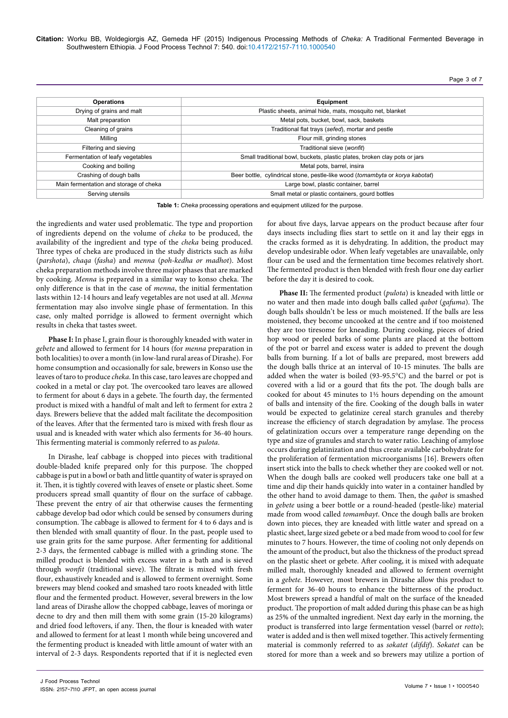**Citation:** Worku BB, Woldegiorgis AZ, Gemeda HF (2015) Indigenous Processing Methods of *Cheka:* A Traditional Fermented Beverage in Southwestern Ethiopia. J Food Process Technol 7: 540. doi:10.4172/2157-7110.1000540

Page 3 of 7

| <b>Operations</b>                      | <b>Equipment</b>                                                              |  |  |
|----------------------------------------|-------------------------------------------------------------------------------|--|--|
| Drying of grains and malt              | Plastic sheets, animal hide, mats, mosquito net, blanket                      |  |  |
| Malt preparation                       | Metal pots, bucket, bowl, sack, baskets                                       |  |  |
| Cleaning of grains                     | Traditional flat trays (sefed), mortar and pestle                             |  |  |
| Milling                                | Flour mill, grinding stones                                                   |  |  |
| Filtering and sieving                  | Traditional sieve (wonfit)                                                    |  |  |
| Fermentation of leafy vegetables       | Small traditional bowl, buckets, plastic plates, broken clay pots or jars     |  |  |
| Cooking and boiling                    | Metal pots, barrel, insira                                                    |  |  |
| Crashing of dough balls                | Beer bottle, cylindrical stone, pestle-like wood (tomambyta or korya kabotat) |  |  |
| Main fermentation and storage of cheka | Large bowl, plastic container, barrel                                         |  |  |
| Serving utensils                       | Small metal or plastic containers, gourd bottles                              |  |  |

**Table 1:** *Cheka* processing operations and equipment utilized for the purpose.

the ingredients and water used problematic. The type and proportion of ingredients depend on the volume of *cheka* to be produced, the availability of the ingredient and type of the *cheka* being produced. Three types of cheka are produced in the study districts such as *hiba*  (*parshota*), *chaqa* (*fasha*) and *menna* (*poh-kedha or madhot*). Most cheka preparation methods involve three major phases that are marked by cooking. *Menna* is prepared in a similar way to konso cheka. The only difference is that in the case of *menna*, the initial fermentation lasts within 12-14 hours and leafy vegetables are not used at all. *Menna* fermentation may also involve single phase of fermentation. In this case, only malted porridge is allowed to ferment overnight which results in cheka that tastes sweet.

Phase I: In phase I, grain flour is thoroughly kneaded with water in *gebete* and allowed to ferment for 14 hours (for *menna* preparation in both localities) to over a month (in low-land rural areas of Dirashe). For home consumption and occasionally for sale, brewers in Konso use the leaves of taro to produce *cheka*. In this case, taro leaves are chopped and cooked in a metal or clay pot. The overcooked taro leaves are allowed to ferment for about 6 days in a gebete. The fourth day, the fermented product is mixed with a handful of malt and left to ferment for extra 2 days. Brewers believe that the added malt facilitate the decomposition of the leaves. After that the fermented taro is mixed with fresh flour as usual and is kneaded with water which also ferments for 36-40 hours. This fermenting material is commonly referred to as *pulota*.

In Dirashe, leaf cabbage is chopped into pieces with traditional double-bladed knife prepared only for this purpose. The chopped cabbage is put in a bowl or bath and little quantity of water is sprayed on it. Then, it is tightly covered with leaves of ensete or plastic sheet. Some producers spread small quantity of flour on the surface of cabbage. These prevent the entry of air that otherwise causes the fermenting cabbage develop bad odor which could be sensed by consumers during consumption. The cabbage is allowed to ferment for 4 to 6 days and is then blended with small quantity of flour. In the past, people used to use grain grits for the same purpose. After fermenting for additional 2-3 days, the fermented cabbage is milled with a grinding stone. The milled product is blended with excess water in a bath and is sieved through *wonfit* (traditional sieve). The filtrate is mixed with fresh flour, exhaustively kneaded and is allowed to ferment overnight. Some brewers may blend cooked and smashed taro roots kneaded with little flour and the fermented product. However, several brewers in the low land areas of Dirashe allow the chopped cabbage, leaves of moringa or decne to dry and then mill them with some grain (15-20 kilograms) and dried food leftovers, if any. Then, the flour is kneaded with water and allowed to ferment for at least 1 month while being uncovered and the fermenting product is kneaded with little amount of water with an interval of 2-3 days. Respondents reported that if it is neglected even for about five days, larvae appears on the product because after four days insects including flies start to settle on it and lay their eggs in the cracks formed as it is dehydrating. In addition, the product may develop undesirable odor. When leafy vegetables are unavailable, only flour can be used and the fermentation time becomes relatively short. The fermented product is then blended with fresh flour one day earlier before the day it is desired to cook.

**Phase II:** The fermented product (*pulota*) is kneaded with little or no water and then made into dough balls called *qabot* (*gafuma*). The dough balls shouldn't be less or much moistened. If the balls are less moistened, they become uncooked at the centre and if too moistened they are too tiresome for kneading. During cooking, pieces of dried hop wood or peeled barks of some plants are placed at the bottom of the pot or barrel and excess water is added to prevent the dough balls from burning. If a lot of balls are prepared, most brewers add the dough balls thrice at an interval of 10-15 minutes. The balls are added when the water is boiled (93-95.5°C) and the barrel or pot is covered with a lid or a gourd that fits the pot. The dough balls are cooked for about 45 minutes to 1½ hours depending on the amount of balls and intensity of the fire. Cooking of the dough balls in water would be expected to gelatinize cereal starch granules and thereby increase the efficiency of starch degradation by amylase. The process of gelatinization occurs over a temperature range depending on the type and size of granules and starch to water ratio. Leaching of amylose occurs during gelatinization and thus create available carbohydrate for the proliferation of fermentation microorganisms [16]. Brewers often insert stick into the balls to check whether they are cooked well or not. When the dough balls are cooked well producers take one ball at a time and dip their hands quickly into water in a container handled by the other hand to avoid damage to them. Then, the *qabot* is smashed in *gebete* using a beer bottle or a round-headed (pestle-like) material made from wood called *tomambayt*. Once the dough balls are broken down into pieces, they are kneaded with little water and spread on a plastic sheet, large sized gebete or a bed made from wood to cool for few minutes to 7 hours. However, the time of cooling not only depends on the amount of the product, but also the thickness of the product spread on the plastic sheet or gebete. After cooling, it is mixed with adequate milled malt, thoroughly kneaded and allowed to ferment overnight in a *gebete.* However*,* most brewers in Dirashe allow this product to ferment for 36-40 hours to enhance the bitterness of the product. Most brewers spread a handful of malt on the surface of the kneaded product. The proportion of malt added during this phase can be as high as 25% of the unmalted ingredient. Next day early in the morning, the product is transferred into large fermentation vessel (barrel or *rotto*); water is added and is then well mixed together. This actively fermenting material is commonly referred to as *sokatet* (*difdif*). *Sokatet* can be stored for more than a week and so brewers may utilize a portion of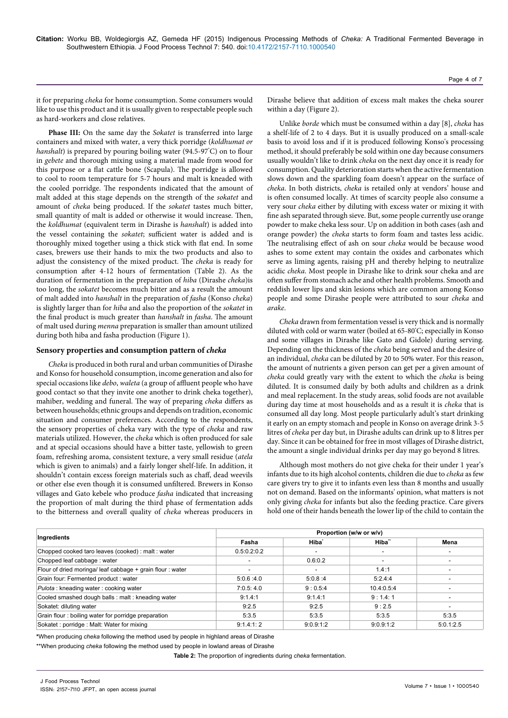it for preparing *cheka* for home consumption. Some consumers would like to use this product and it is usually given to respectable people such as hard-workers and close relatives.

Phase III: On the same day the *Sokatet* is transferred into large containers and mixed with water, a very thick porridge (*koldhumat or hanshalt*) is prepared by pouring boiling water (94.5-97° C) on to flour in *gebete* and thorough mixing using a material made from wood for this purpose or a flat cattle bone (Scapula). The porridge is allowed to cool to room temperature for 5-7 hours and malt is kneaded with the cooled porridge. The respondents indicated that the amount of malt added at this stage depends on the strength of the *sokatet* and amount of *cheka* being produced. If the *sokatet* tastes much bitter, small quantity of malt is added or otherwise it would increase. Then, the *koldhumat* (equivalent term in Dirashe is *hanshalt*) is added into the vessel containing the *sokatet*; sufficient water is added and is thoroughly mixed together using a thick stick with flat end. In some cases, brewers use their hands to mix the two products and also to adjust the consistency of the mixed product. The *cheka* is ready for consumption after 4-12 hours of fermentation (Table 2). As the duration of fermentation in the preparation of *hiba* (Dirashe *cheka*)is too long, the *sokatet* becomes much bitter and as a result the amount of malt added into *hanshalt* in the preparation of *fasha* (Konso *cheka*) is slightly larger than for *hiba* and also the proportion of the *sokatet* in the final product is much greater than *hanshalt* in *fasha*. The amount of malt used during *menna* preparation is smaller than amount utilized during both hiba and fasha production (Figure 1).

#### **Sensory properties and consumption pattern of** *cheka*

*Cheka* is produced in both rural and urban communities of Dirashe and Konso for household consumption, income generation and also for special occasions like *debo*, *waleta* (a group of affluent people who have good contact so that they invite one another to drink cheka together), mahiber, wedding and funeral. The way of preparing *cheka* differs as between households; ethnic groups and depends on tradition, economic situation and consumer preferences. According to the respondents, the sensory properties of cheka vary with the type of *cheka* and raw materials utilized. However, the *cheka* which is often produced for sale and at special occasions should have a bitter taste, yellowish to green foam, refreshing aroma, consistent texture, a very small residue (*atela*  which is given to animals) and a fairly longer shelf-life. In addition, it shouldn't contain excess foreign materials such as chaff, dead weevils or other else even though it is consumed unfiltered. Brewers in Konso villages and Gato kebele who produce *fasha* indicated that increasing the proportion of malt during the third phase of fermentation adds to the bitterness and overall quality of *cheka* whereas producers in

Dirashe believe that addition of excess malt makes the cheka sourer within a day (Figure 2).

Unlike *borde* which must be consumed within a day [8], *cheka* has a shelf-life of 2 to 4 days. But it is usually produced on a small-scale basis to avoid loss and if it is produced following Konso's processing method, it should preferably be sold within one day because consumers usually wouldn't like to drink *cheka* on the next day once it is ready for consumption. Quality deterioration starts when the active fermentation slows down and the sparkling foam doesn't appear on the surface of *cheka*. In both districts, *cheka* is retailed only at vendors' house and is often consumed locally. At times of scarcity people also consume a very sour *cheka* either by diluting with excess water or mixing it with fine ash separated through sieve. But, some people currently use orange powder to make cheka less sour. Up on addition in both cases (ash and orange powder) the *cheka* starts to form foam and tastes less acidic. The neutralising effect of ash on sour *cheka* would be because wood ashes to some extent may contain the oxides and carbonates which serve as liming agents, raising pH and thereby helping to neutralize acidic *cheka*. Most people in Dirashe like to drink sour cheka and are often suffer from stomach ache and other health problems. Smooth and reddish lower lips and skin lesions which are common among Konso people and some Dirashe people were attributed to sour *cheka* and *arake*.

*Cheka* drawn from fermentation vessel is very thick and is normally diluted with cold or warm water (boiled at 65-80° C; especially in Konso and some villages in Dirashe like Gato and Gidole) during serving. Depending on the thickness of the *cheka* being served and the desire of an individual, *cheka* can be diluted by 20 to 50% water. For this reason, the amount of nutrients a given person can get per a given amount of *cheka* could greatly vary with the extent to which the *cheka* is being diluted. It is consumed daily by both adults and children as a drink and meal replacement. In the study areas, solid foods are not available during day time at most households and as a result it is *cheka* that is consumed all day long. Most people particularly adult's start drinking it early on an empty stomach and people in Konso on average drink 3-5 litres of *cheka* per day but, in Dirashe adults can drink up to 8 litres per day. Since it can be obtained for free in most villages of Dirashe district, the amount a single individual drinks per day may go beyond 8 litres.

Although most mothers do not give cheka for their under 1 year's infants due to its high alcohol contents, children die due to *cheka* as few care givers try to give it to infants even less than 8 months and usually not on demand. Based on the informants' opinion, what matters is not only giving *cheka* for infants but also the feeding practice. Care givers hold one of their hands beneath the lower lip of the child to contain the

|                                                            | Proportion (w/w or w/v) |                   |            |           |
|------------------------------------------------------------|-------------------------|-------------------|------------|-----------|
| Ingredients                                                | Fasha                   | Hiba <sup>*</sup> | Hiba"      | Mena      |
| Chopped cooked taro leaves (cooked) : malt : water         | 0.5:0.2:0.2             | -                 |            |           |
| Chopped leaf cabbage: water                                |                         | 0.6:0.2           |            |           |
| Flour of dried moringa/ leaf cabbage + grain flour : water |                         |                   | 1.4:1      |           |
| Grain four: Fermented product : water                      | 5:0.6:4.0               | 5:0.8:4           | 5:2.4:4    |           |
| Pulota: kneading water: cooking water                      | 7:0.5:4.0               | 9:0.5:4           | 10.4:0.5:4 |           |
| Cooled smashed dough balls : malt : kneading water         | 9:1.4:1                 | 9:1.4:1           | 9:1.4:1    |           |
| Sokatet: diluting water                                    | 9:2.5                   | 9:2.5             | 9:2.5      |           |
| Grain flour: boiling water for porridge preparation        | 5:3.5                   | 5:3.5             | 5:3.5      | 5:3.5     |
| Sokatet: porridge: Malt: Water for mixing                  | 9:1.4:1:2               | 9:0.9:1:2         | 9:0.9:1:2  | 5:0.1:2.5 |

**\***When producing *cheka* following the method used by people in highland areas of Dirashe

\*\*When producing *cheka* following the method used by people in lowland areas of Dirashe

**Table 2:** The proportion of ingredients during *cheka* fermentation.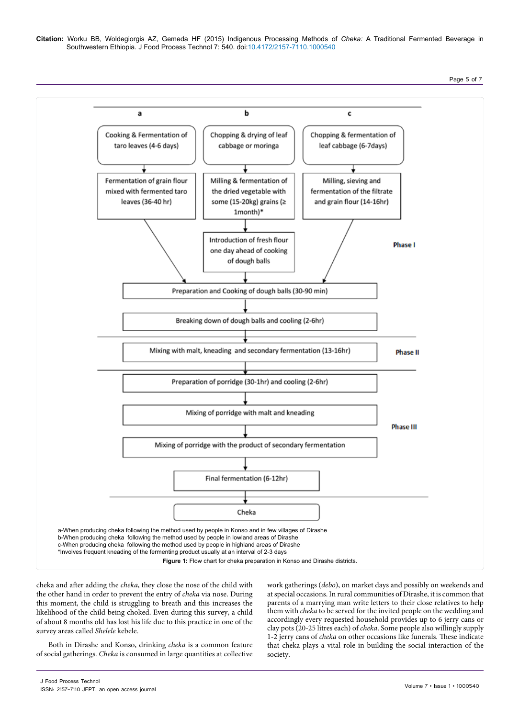**Citation:** Worku BB, Woldegiorgis AZ, Gemeda HF (2015) Indigenous Processing Methods of *Cheka:* A Traditional Fermented Beverage in Southwestern Ethiopia. J Food Process Technol 7: 540. doi:10.4172/2157-7110.1000540

Page 5 of 7



cheka and after adding the *cheka*, they close the nose of the child with the other hand in order to prevent the entry of *cheka* via nose. During this moment, the child is struggling to breath and this increases the likelihood of the child being choked. Even during this survey, a child of about 8 months old has lost his life due to this practice in one of the survey areas called *Shelele* kebele.

Both in Dirashe and Konso, drinking *cheka* is a common feature of social gatherings. *Cheka* is consumed in large quantities at collective work gatherings (*debo*), on market days and possibly on weekends and at special occasions. In rural communities of Dirashe, it is common that parents of a marrying man write letters to their close relatives to help them with *cheka* to be served for the invited people on the wedding and accordingly every requested household provides up to 6 jerry cans or clay pots (20-25 litres each) of *cheka*. Some people also willingly supply 1-2 jerry cans of *cheka* on other occasions like funerals. These indicate that cheka plays a vital role in building the social interaction of the society.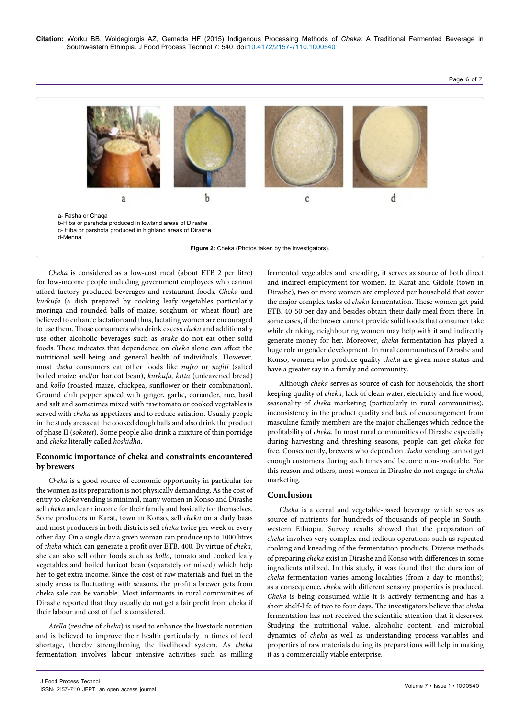

*Cheka* is considered as a low-cost meal (about ETB 2 per litre) for low-income people including government employees who cannot afford factory produced beverages and restaurant foods. *Cheka* and *kurkufa* (a dish prepared by cooking leafy vegetables particularly moringa and rounded balls of maize, sorghum or wheat flour) are believed to enhance lactation and thus, lactating women are encouraged to use them. Those consumers who drink excess *cheka* and additionally use other alcoholic beverages such as *arake* do not eat other solid foods. These indicates that dependence on *cheka* alone can affect the nutritional well-being and general health of individuals. However, most *cheka* consumers eat other foods like *nufro* or *nufiti* (salted boiled maize and/or haricot bean), *kurkufa, kitta* (unleavened bread) and *kollo* (roasted maize, chickpea, sunflower or their combination). Ground chili pepper spiced with ginger, garlic, coriander, rue, basil and salt and sometimes mixed with raw tomato or cooked vegetables is served with *cheka* as appetizers and to reduce satiation. Usually people in the study areas eat the cooked dough balls and also drink the product of phase II (*sokatet*). Some people also drink a mixture of thin porridge and *cheka* literally called *hoskidha*.

## **Economic importance of cheka and constraints encountered by brewers**

*Cheka* is a good source of economic opportunity in particular for the women as its preparation is not physically demanding. As the cost of entry to *cheka* vending is minimal, many women in Konso and Dirashe sell *cheka* and earn income for their family and basically for themselves. Some producers in Karat, town in Konso, sell *cheka* on a daily basis and most producers in both districts sell *cheka* twice per week or every other day. On a single day a given woman can produce up to 1000 litres of *cheka* which can generate a profit over ETB. 400. By virtue of *cheka*, she can also sell other foods such as *kollo*, tomato and cooked leafy vegetables and boiled haricot bean (separately or mixed) which help her to get extra income. Since the cost of raw materials and fuel in the study areas is fluctuating with seasons, the profit a brewer gets from cheka sale can be variable. Most informants in rural communities of Dirashe reported that they usually do not get a fair profit from cheka if their labour and cost of fuel is considered.

*Atella* (residue of *cheka*) is used to enhance the livestock nutrition and is believed to improve their health particularly in times of feed shortage, thereby strengthening the livelihood system. As *cheka* fermentation involves labour intensive activities such as milling

Dirashe), two or more women are employed per household that cover the major complex tasks of *cheka* fermentation. These women get paid ETB. 40-50 per day and besides obtain their daily meal from there. In some cases, if the brewer cannot provide solid foods that consumer take while drinking, neighbouring women may help with it and indirectly generate money for her. Moreover, *cheka* fermentation has played a huge role in gender development. In rural communities of Dirashe and Konso, women who produce quality *cheka* are given more status and have a greater say in a family and community. Although *cheka* serves as source of cash for households, the short

fermented vegetables and kneading, it serves as source of both direct and indirect employment for women. In Karat and Gidole (town in

keeping quality of *cheka*, lack of clean water, electricity and fire wood, seasonality of *cheka* marketing (particularly in rural communities), inconsistency in the product quality and lack of encouragement from masculine family members are the major challenges which reduce the profitability of *cheka*. In most rural communities of Dirashe especially during harvesting and threshing seasons, people can get *cheka* for free. Consequently, brewers who depend on *cheka* vending cannot get enough customers during such times and become non-profitable. For this reason and others, most women in Dirashe do not engage in *cheka* marketing.

# **Conclusion**

*Cheka* is a cereal and vegetable-based beverage which serves as source of nutrients for hundreds of thousands of people in Southwestern Ethiopia. Survey results showed that the preparation of *cheka* involves very complex and tedious operations such as repeated cooking and kneading of the fermentation products. Diverse methods of preparing *cheka* exist in Dirashe and Konso with differences in some ingredients utilized. In this study, it was found that the duration of *cheka* fermentation varies among localities (from a day to months); as a consequence, *cheka* with different sensory properties is produced. *Cheka* is being consumed while it is actively fermenting and has a short shelf-life of two to four days. The investigators believe that *cheka* fermentation has not received the scientific attention that it deserves. Studying the nutritional value, alcoholic content, and microbial dynamics of *cheka* as well as understanding process variables and properties of raw materials during its preparations will help in making it as a commercially viable enterprise.